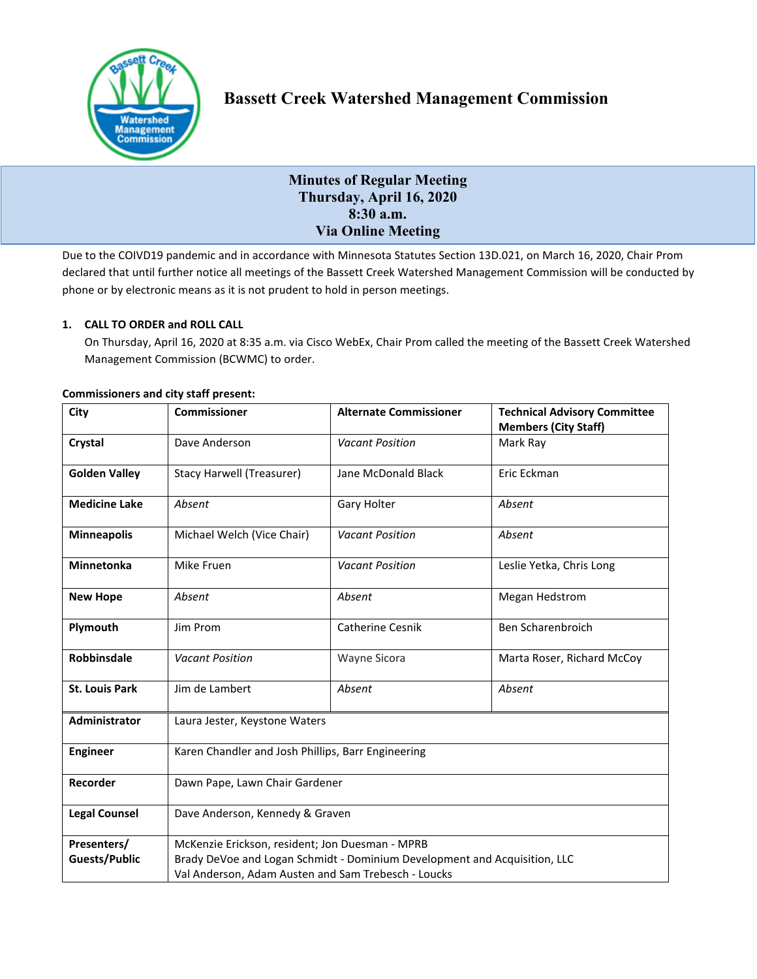

# **Bassett Creek Watershed Management Commission**

# **Minutes of Regular Meeting Thursday, April 16, 2020 8:30 a.m. Via Online Meeting**

Due to the COIVD19 pandemic and in accordance with Minnesota Statutes Section 13D.021, on March 16, 2020, Chair Prom declared that until further notice all meetings of the Bassett Creek Watershed Management Commission will be conducted by phone or by electronic means as it is not prudent to hold in person meetings.

# **1. CALL TO ORDER and ROLL CALL**

On Thursday, April 16, 2020 at 8:35 a.m. via Cisco WebEx, Chair Prom called the meeting of the Bassett Creek Watershed Management Commission (BCWMC) to order.

| City                  | <b>Commissioner</b>                                                       | <b>Alternate Commissioner</b> | <b>Technical Advisory Committee</b><br><b>Members (City Staff)</b> |
|-----------------------|---------------------------------------------------------------------------|-------------------------------|--------------------------------------------------------------------|
| Crystal               | Dave Anderson                                                             | <b>Vacant Position</b>        | Mark Ray                                                           |
| <b>Golden Valley</b>  | <b>Stacy Harwell (Treasurer)</b>                                          | Jane McDonald Black           | Eric Eckman                                                        |
| <b>Medicine Lake</b>  | Absent                                                                    | Gary Holter                   | Absent                                                             |
| <b>Minneapolis</b>    | Michael Welch (Vice Chair)                                                | <b>Vacant Position</b>        | Absent                                                             |
| Minnetonka            | Mike Fruen                                                                | <b>Vacant Position</b>        | Leslie Yetka, Chris Long                                           |
| <b>New Hope</b>       | Absent                                                                    | Absent                        | Megan Hedstrom                                                     |
| Plymouth              | Jim Prom                                                                  | Catherine Cesnik              | Ben Scharenbroich                                                  |
| Robbinsdale           | <b>Vacant Position</b>                                                    | Wayne Sicora                  | Marta Roser, Richard McCoy                                         |
| <b>St. Louis Park</b> | Jim de Lambert                                                            | Absent                        | Absent                                                             |
| Administrator         | Laura Jester, Keystone Waters                                             |                               |                                                                    |
| <b>Engineer</b>       | Karen Chandler and Josh Phillips, Barr Engineering                        |                               |                                                                    |
| Recorder              | Dawn Pape, Lawn Chair Gardener                                            |                               |                                                                    |
| <b>Legal Counsel</b>  | Dave Anderson, Kennedy & Graven                                           |                               |                                                                    |
| Presenters/           | McKenzie Erickson, resident; Jon Duesman - MPRB                           |                               |                                                                    |
| <b>Guests/Public</b>  | Brady DeVoe and Logan Schmidt - Dominium Development and Acquisition, LLC |                               |                                                                    |
|                       | Val Anderson, Adam Austen and Sam Trebesch - Loucks                       |                               |                                                                    |

# **Commissioners and city staff present:**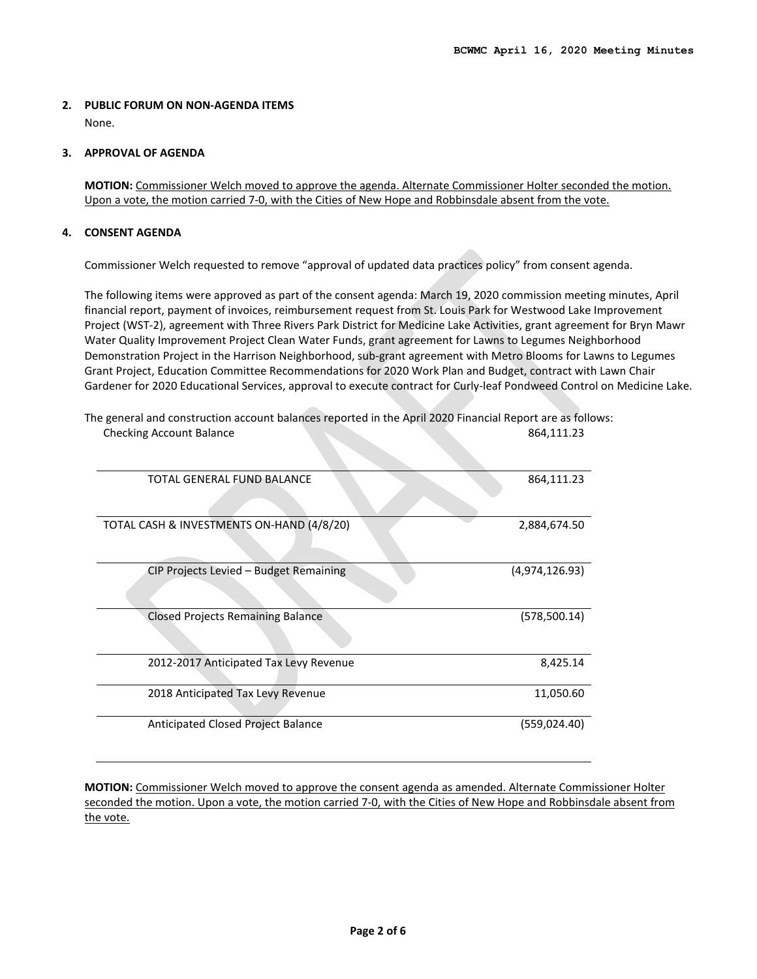# **2. PUBLIC FORUM ON NON-AGENDA ITEMS**

None.

#### **3. APPROVAL OF AGENDA**

**MOTION:** Commissioner Welch moved to approve the agenda. Alternate Commissioner Holter seconded the motion. Upon a vote, the motion carried 7-0, with the Cities of New Hope and Robbinsdale absent from the vote.

# **4. CONSENT AGENDA**

Commissioner Welch requested to remove "approval of updated data practices policy" from consent agenda.

The following items were approved as part of the consent agenda: March 19, 2020 commission meeting minutes, April financial report, payment of invoices, reimbursement request from St. Louis Park for Westwood Lake Improvement Project (WST-2), agreement with Three Rivers Park District for Medicine Lake Activities, grant agreement for Bryn Mawr Water Quality Improvement Project Clean Water Funds, grant agreement for Lawns to Legumes Neighborhood Demonstration Project in the Harrison Neighborhood, sub-grant agreement with Metro Blooms for Lawns to Legumes Grant Project, Education Committee Recommendations for 2020 Work Plan and Budget, contract with Lawn Chair Gardener for 2020 Educational Services, approval to execute contract for Curly-leaf Pondweed Control on Medicine Lake.

| TOTAL GENERAL FUND BALANCE                | 864,111.23     |
|-------------------------------------------|----------------|
|                                           |                |
|                                           |                |
| TOTAL CASH & INVESTMENTS ON-HAND (4/8/20) | 2,884,674.50   |
|                                           |                |
|                                           |                |
| CIP Projects Levied - Budget Remaining    | (4,974,126.93) |
|                                           |                |
|                                           |                |
| <b>Closed Projects Remaining Balance</b>  | (578, 500.14)  |
|                                           |                |
|                                           |                |
| 2012-2017 Anticipated Tax Levy Revenue    | 8,425.14       |
|                                           |                |
| 2018 Anticipated Tax Levy Revenue         | 11,050.60      |
|                                           |                |
| Anticipated Closed Project Balance        | (559, 024.40)  |
|                                           |                |

The general and construction account balances reported in the April 2020 Financial Report are as follows: **Checking Account Balance** 864,111.23

**MOTION:** Commissioner Welch moved to approve the consent agenda as amended. Alternate Commissioner Holter seconded the motion. Upon a vote, the motion carried 7-0, with the Cities of New Hope and Robbinsdale absent from the vote.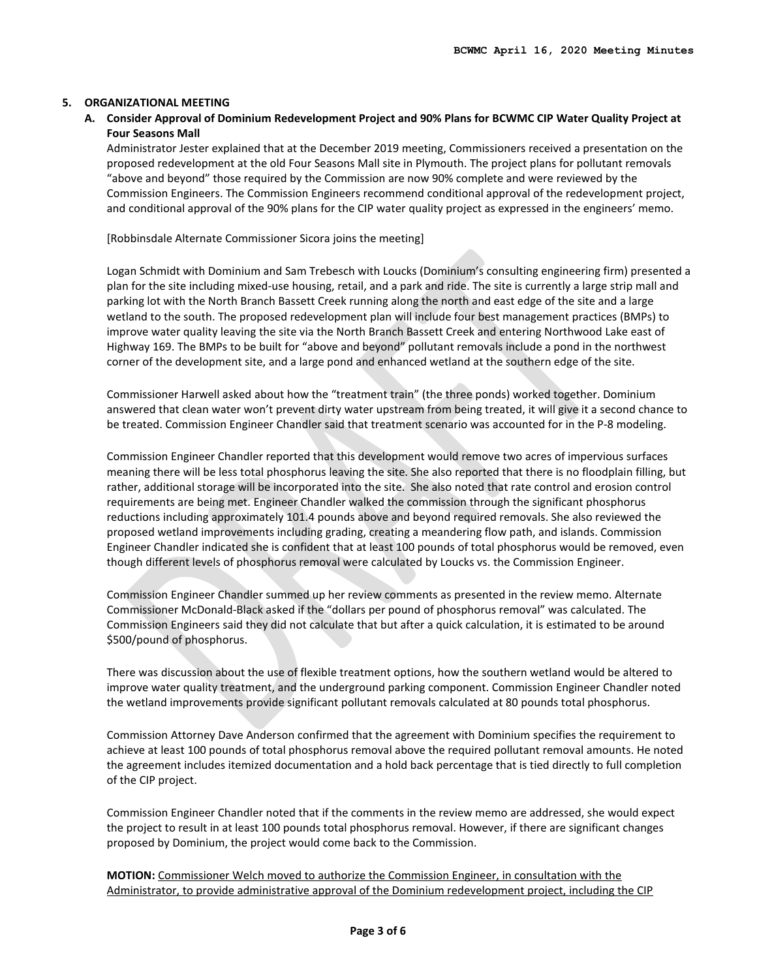#### **5. ORGANIZATIONAL MEETING**

**A. Consider Approval of Dominium Redevelopment Project and 90% Plans for BCWMC CIP Water Quality Project at Four Seasons Mall**

Administrator Jester explained that at the December 2019 meeting, Commissioners received a presentation on the proposed redevelopment at the old Four Seasons Mall site in Plymouth. The project plans for pollutant removals "above and beyond" those required by the Commission are now 90% complete and were reviewed by the Commission Engineers. The Commission Engineers recommend conditional approval of the redevelopment project, and conditional approval of the 90% plans for the CIP water quality project as expressed in the engineers' memo.

[Robbinsdale Alternate Commissioner Sicora joins the meeting]

Logan Schmidt with Dominium and Sam Trebesch with Loucks (Dominium's consulting engineering firm) presented a plan for the site including mixed-use housing, retail, and a park and ride. The site is currently a large strip mall and parking lot with the North Branch Bassett Creek running along the north and east edge of the site and a large wetland to the south. The proposed redevelopment plan will include four best management practices (BMPs) to improve water quality leaving the site via the North Branch Bassett Creek and entering Northwood Lake east of Highway 169. The BMPs to be built for "above and beyond" pollutant removals include a pond in the northwest corner of the development site, and a large pond and enhanced wetland at the southern edge of the site.

Commissioner Harwell asked about how the "treatment train" (the three ponds) worked together. Dominium answered that clean water won't prevent dirty water upstream from being treated, it will give it a second chance to be treated. Commission Engineer Chandler said that treatment scenario was accounted for in the P-8 modeling.

Commission Engineer Chandler reported that this development would remove two acres of impervious surfaces meaning there will be less total phosphorus leaving the site. She also reported that there is no floodplain filling, but rather, additional storage will be incorporated into the site. She also noted that rate control and erosion control requirements are being met. Engineer Chandler walked the commission through the significant phosphorus reductions including approximately 101.4 pounds above and beyond required removals. She also reviewed the proposed wetland improvements including grading, creating a meandering flow path, and islands. Commission Engineer Chandler indicated she is confident that at least 100 pounds of total phosphorus would be removed, even though different levels of phosphorus removal were calculated by Loucks vs. the Commission Engineer.

Commission Engineer Chandler summed up her review comments as presented in the review memo. Alternate Commissioner McDonald-Black asked if the "dollars per pound of phosphorus removal" was calculated. The Commission Engineers said they did not calculate that but after a quick calculation, it is estimated to be around \$500/pound of phosphorus.

There was discussion about the use of flexible treatment options, how the southern wetland would be altered to improve water quality treatment, and the underground parking component. Commission Engineer Chandler noted the wetland improvements provide significant pollutant removals calculated at 80 pounds total phosphorus.

Commission Attorney Dave Anderson confirmed that the agreement with Dominium specifies the requirement to achieve at least 100 pounds of total phosphorus removal above the required pollutant removal amounts. He noted the agreement includes itemized documentation and a hold back percentage that is tied directly to full completion of the CIP project.

Commission Engineer Chandler noted that if the comments in the review memo are addressed, she would expect the project to result in at least 100 pounds total phosphorus removal. However, if there are significant changes proposed by Dominium, the project would come back to the Commission.

**MOTION:** Commissioner Welch moved to authorize the Commission Engineer, in consultation with the Administrator, to provide administrative approval of the Dominium redevelopment project, including the CIP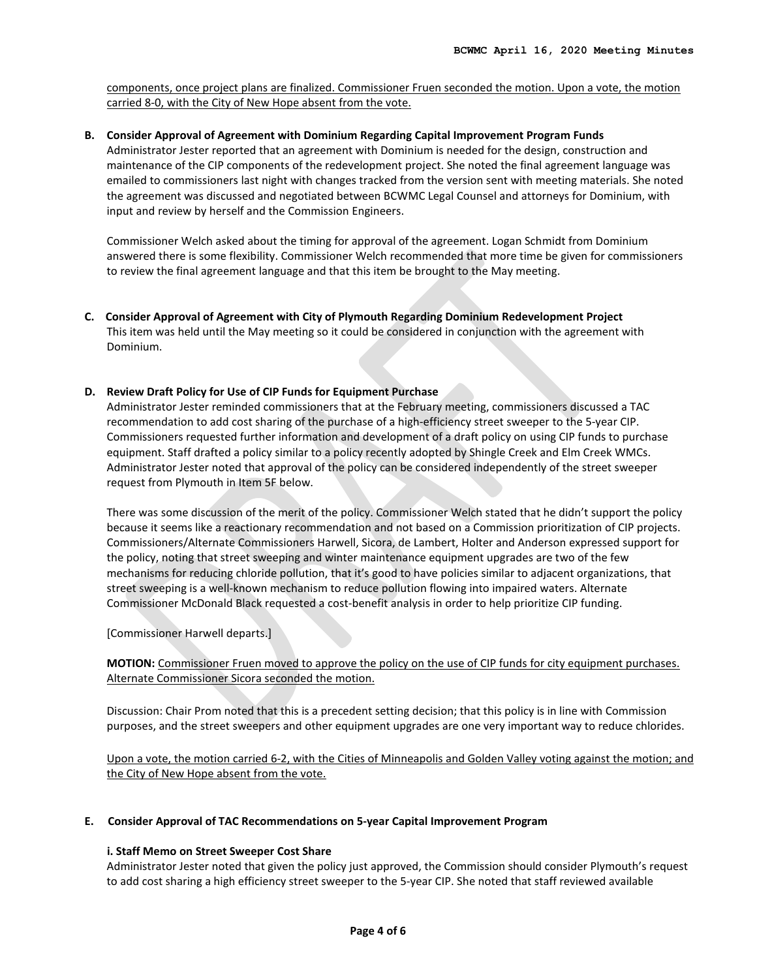components, once project plans are finalized. Commissioner Fruen seconded the motion. Upon a vote, the motion carried 8-0, with the City of New Hope absent from the vote.

#### **B. Consider Approval of Agreement with Dominium Regarding Capital Improvement Program Funds**

Administrator Jester reported that an agreement with Dominium is needed for the design, construction and maintenance of the CIP components of the redevelopment project. She noted the final agreement language was emailed to commissioners last night with changes tracked from the version sent with meeting materials. She noted the agreement was discussed and negotiated between BCWMC Legal Counsel and attorneys for Dominium, with input and review by herself and the Commission Engineers.

Commissioner Welch asked about the timing for approval of the agreement. Logan Schmidt from Dominium answered there is some flexibility. Commissioner Welch recommended that more time be given for commissioners to review the final agreement language and that this item be brought to the May meeting.

**C. Consider Approval of Agreement with City of Plymouth Regarding Dominium Redevelopment Project** This item was held until the May meeting so it could be considered in conjunction with the agreement with Dominium.

# **D. Review Draft Policy for Use of CIP Funds for Equipment Purchase**

Administrator Jester reminded commissioners that at the February meeting, commissioners discussed a TAC recommendation to add cost sharing of the purchase of a high-efficiency street sweeper to the 5-year CIP. Commissioners requested further information and development of a draft policy on using CIP funds to purchase equipment. Staff drafted a policy similar to a policy recently adopted by Shingle Creek and Elm Creek WMCs. Administrator Jester noted that approval of the policy can be considered independently of the street sweeper request from Plymouth in Item 5F below.

There was some discussion of the merit of the policy. Commissioner Welch stated that he didn't support the policy because it seems like a reactionary recommendation and not based on a Commission prioritization of CIP projects. Commissioners/Alternate Commissioners Harwell, Sicora, de Lambert, Holter and Anderson expressed support for the policy, noting that street sweeping and winter maintenance equipment upgrades are two of the few mechanisms for reducing chloride pollution, that it's good to have policies similar to adjacent organizations, that street sweeping is a well-known mechanism to reduce pollution flowing into impaired waters. Alternate Commissioner McDonald Black requested a cost-benefit analysis in order to help prioritize CIP funding.

[Commissioner Harwell departs.]

**MOTION:** Commissioner Fruen moved to approve the policy on the use of CIP funds for city equipment purchases. Alternate Commissioner Sicora seconded the motion.

Discussion: Chair Prom noted that this is a precedent setting decision; that this policy is in line with Commission purposes, and the street sweepers and other equipment upgrades are one very important way to reduce chlorides.

Upon a vote, the motion carried 6-2, with the Cities of Minneapolis and Golden Valley voting against the motion; and the City of New Hope absent from the vote.

#### **E. Consider Approval of TAC Recommendations on 5-year Capital Improvement Program**

# **i. Staff Memo on Street Sweeper Cost Share**

Administrator Jester noted that given the policy just approved, the Commission should consider Plymouth's request to add cost sharing a high efficiency street sweeper to the 5-year CIP. She noted that staff reviewed available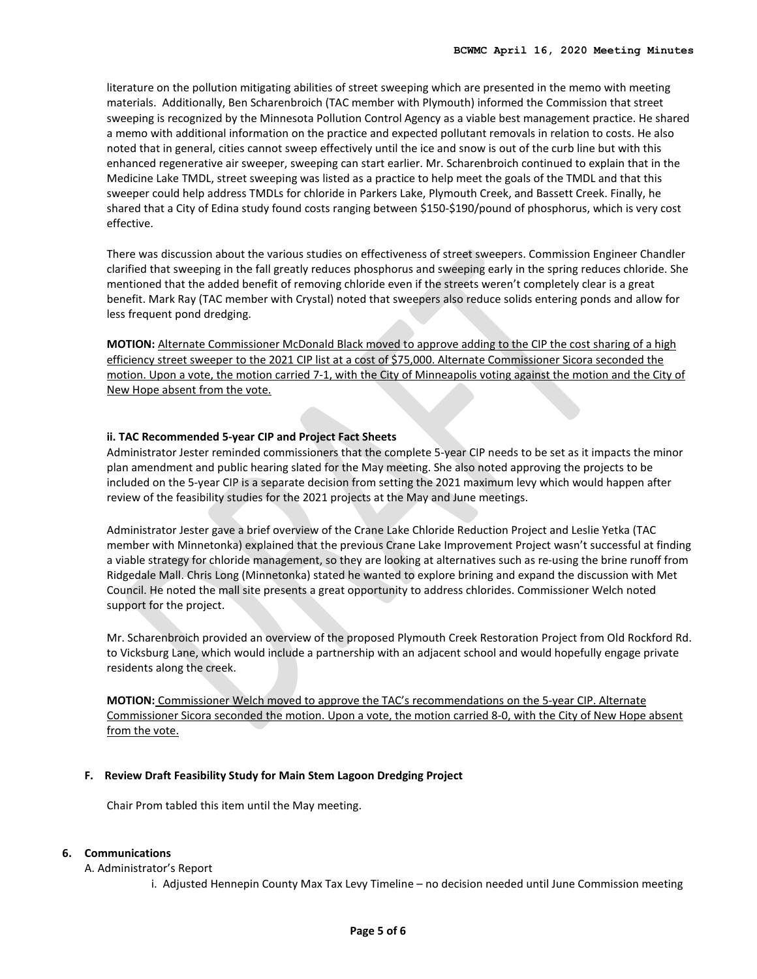literature on the pollution mitigating abilities of street sweeping which are presented in the memo with meeting materials. Additionally, Ben Scharenbroich (TAC member with Plymouth) informed the Commission that street sweeping is recognized by the Minnesota Pollution Control Agency as a viable best management practice. He shared a memo with additional information on the practice and expected pollutant removals in relation to costs. He also noted that in general, cities cannot sweep effectively until the ice and snow is out of the curb line but with this enhanced regenerative air sweeper, sweeping can start earlier. Mr. Scharenbroich continued to explain that in the Medicine Lake TMDL, street sweeping was listed as a practice to help meet the goals of the TMDL and that this sweeper could help address TMDLs for chloride in Parkers Lake, Plymouth Creek, and Bassett Creek. Finally, he shared that a City of Edina study found costs ranging between \$150-\$190/pound of phosphorus, which is very cost effective.

There was discussion about the various studies on effectiveness of street sweepers. Commission Engineer Chandler clarified that sweeping in the fall greatly reduces phosphorus and sweeping early in the spring reduces chloride. She mentioned that the added benefit of removing chloride even if the streets weren't completely clear is a great benefit. Mark Ray (TAC member with Crystal) noted that sweepers also reduce solids entering ponds and allow for less frequent pond dredging.

**MOTION:** Alternate Commissioner McDonald Black moved to approve adding to the CIP the cost sharing of a high efficiency street sweeper to the 2021 CIP list at a cost of \$75,000. Alternate Commissioner Sicora seconded the motion. Upon a vote, the motion carried 7-1, with the City of Minneapolis voting against the motion and the City of New Hope absent from the vote.

# **ii. [TAC Recommended 5-year CIP and Project Fact Sheets](http://www.bassettcreekwmo.org/download_file/view/4211/518)**

Administrator Jester reminded commissioners that the complete 5-year CIP needs to be set as it impacts the minor plan amendment and public hearing slated for the May meeting. She also noted approving the projects to be included on the 5-year CIP is a separate decision from setting the 2021 maximum levy which would happen after review of the feasibility studies for the 2021 projects at the May and June meetings.

Administrator Jester gave a brief overview of the Crane Lake Chloride Reduction Project and Leslie Yetka (TAC member with Minnetonka) explained that the previous Crane Lake Improvement Project wasn't successful at finding a viable strategy for chloride management, so they are looking at alternatives such as re-using the brine runoff from Ridgedale Mall. Chris Long (Minnetonka) stated he wanted to explore brining and expand the discussion with Met Council. He noted the mall site presents a great opportunity to address chlorides. Commissioner Welch noted support for the project.

Mr. Scharenbroich provided an overview of the proposed Plymouth Creek Restoration Project from Old Rockford Rd. to Vicksburg Lane, which would include a partnership with an adjacent school and would hopefully engage private residents along the creek.

**MOTION:** Commissioner Welch moved to approve the TAC's recommendations on the 5-year CIP. Alternate Commissioner Sicora seconded the motion. Upon a vote, the motion carried 8-0, with the City of New Hope absent from the vote.

# **F. Review Draft Feasibility Study for Main Stem Lagoon Dredging Project**

Chair Prom tabled this item until the May meeting.

#### **6. Communications**

A. Administrator's Report

i. Adjusted Hennepin County Max Tax Levy Timeline – no decision needed until June Commission meeting